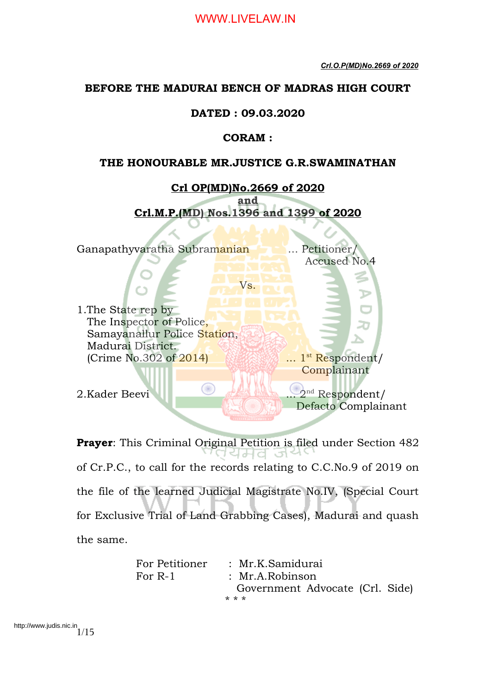# **BEFORE THE MADURAI BENCH OF MADRAS HIGH COURT**

# **DATED : 09.03.2020**

# **CORAM :**

## **THE HONOURABLE MR.JUSTICE G.R.SWAMINATHAN**



**Prayer**: This Criminal Original Petition is filed under Section 482 ସମ୍ପ of Cr.P.C., to call for the records relating to C.C.No.9 of 2019 on the file of the learned Judicial Magistrate No.IV, (Special Court for Exclusive Trial of Land Grabbing Cases), Madurai and quash the same.

| For Petitioner | : Mr.K.Samidurai                |  |  |  |  |  |  |
|----------------|---------------------------------|--|--|--|--|--|--|
| For $R-1$      | : Mr.A. Robinson                |  |  |  |  |  |  |
|                | Government Advocate (Crl. Side) |  |  |  |  |  |  |
|                | * * *                           |  |  |  |  |  |  |

http://www.judis.nic.in<br>1/15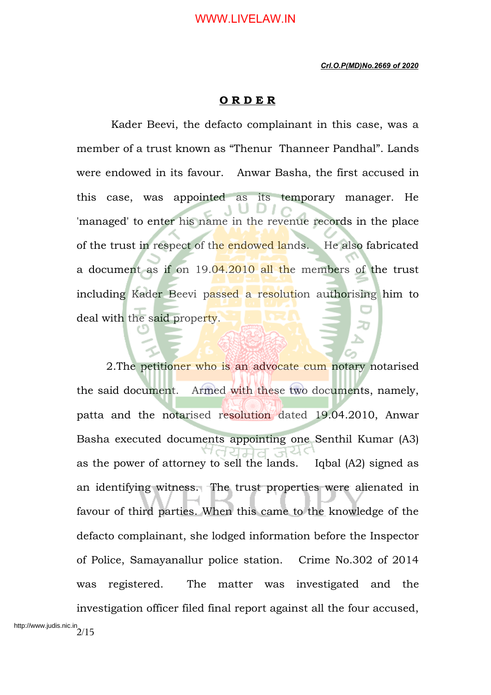### **O R D E R**

 Kader Beevi, the defacto complainant in this case, was a member of a trust known as "Thenur Thanneer Pandhal". Lands were endowed in its favour. Anwar Basha, the first accused in this case, was appointed as its temporary manager. He 'managed' to enter his name in the revenue records in the place of the trust in respect of the endowed lands. He also fabricated a document as if on 19.04.2010 all the members of the trust including Kader Beevi passed a resolution authorising him to deal with the said property.

2. The petitioner who is an advocate cum notary notarised the said document. Armed with these two documents, namely, patta and the notarised resolution dated 19.04.2010, Anwar Basha executed documents appointing one Senthil Kumar (A3) as the power of attorney to sell the lands. Iqbal (A2) signed as an identifying witness. The trust properties were alienated in favour of third parties. When this came to the knowledge of the defacto complainant, she lodged information before the Inspector of Police, Samayanallur police station. Crime No.302 of 2014 was registered. The matter was investigated and the investigation officer filed final report against all the four accused,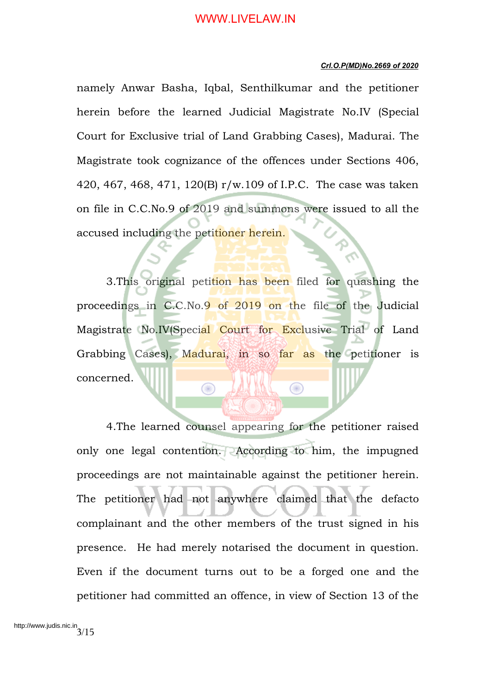#### *Crl.O.P(MD)No.2669 of 2020*

namely Anwar Basha, Iqbal, Senthilkumar and the petitioner herein before the learned Judicial Magistrate No.IV (Special Court for Exclusive trial of Land Grabbing Cases), Madurai. The Magistrate took cognizance of the offences under Sections 406, 420, 467, 468, 471, 120(B) r/w.109 of I.P.C. The case was taken on file in C.C.No.9 of 2019 and summons were issued to all the accused including the petitioner herein.

3.This original petition has been filed for quashing the proceedings in C.C.No.9 of 2019 on the file of the Judicial Magistrate No.IV(Special Court for Exclusive Trial of Land Grabbing Cases), Madurai, in so far as the petitioner is concerned.  $\bigcirc$ ◉

4.The learned counsel appearing for the petitioner raised only one legal contention. According to him, the impugned proceedings are not maintainable against the petitioner herein. The petitioner had not anywhere claimed that the defacto complainant and the other members of the trust signed in his presence. He had merely notarised the document in question. Even if the document turns out to be a forged one and the petitioner had committed an offence, in view of Section 13 of the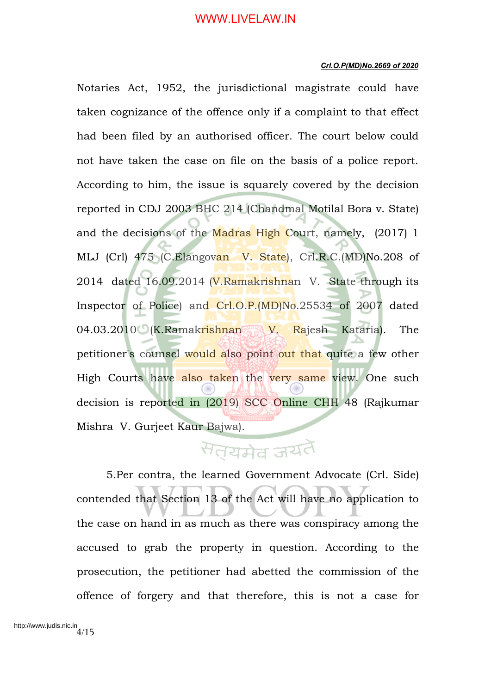#### *Crl.O.P(MD)No.2669 of 2020*

Notaries Act, 1952, the jurisdictional magistrate could have taken cognizance of the offence only if a complaint to that effect had been filed by an authorised officer. The court below could not have taken the case on file on the basis of a police report. According to him, the issue is squarely covered by the decision reported in CDJ 2003 BHC 214 (Chandmal Motilal Bora v. State) and the decisions of the Madras High Court, namely, (2017) 1 MLJ (Crl) 475 (C.Elangovan V. State), Crl.R.C.(MD)No.208 of 2014 dated 16.09.2014 (V.Ramakrishnan V. State through its Inspector of Police) and Crl.O.P.(MD)No.25534 of 2007 dated 04.03.2010 (K.Ramakrishnan V. Rajesh Kataria). The petitioner's counsel would also point out that quite a few other High Courts have also taken the very same view. One such decision is reported in (2019) SCC Online CHH 48 (Rajkumar Mishra V. Gurjeet Kaur Bajwa).

# सत्यमेव जयतै

5.Per contra, the learned Government Advocate (Crl. Side) contended that Section 13 of the Act will have no application to the case on hand in as much as there was conspiracy among the accused to grab the property in question. According to the prosecution, the petitioner had abetted the commission of the offence of forgery and that therefore, this is not a case for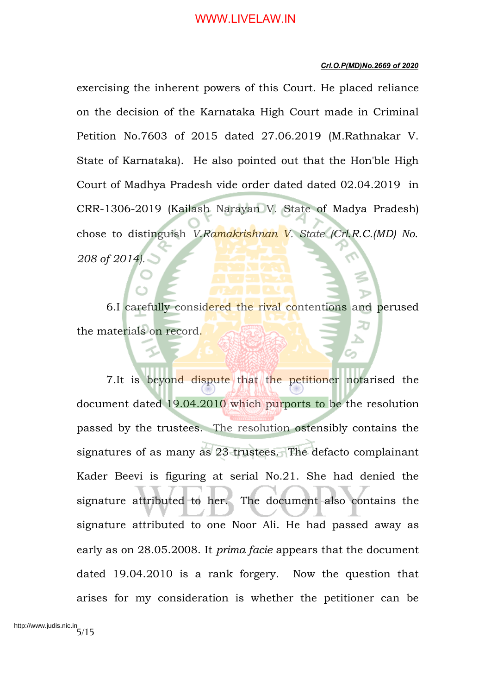#### *Crl.O.P(MD)No.2669 of 2020*

exercising the inherent powers of this Court. He placed reliance on the decision of the Karnataka High Court made in Criminal Petition No.7603 of 2015 dated 27.06.2019 (M.Rathnakar V. State of Karnataka). He also pointed out that the Hon'ble High Court of Madhya Pradesh vide order dated dated 02.04.2019 in CRR-1306-2019 (Kailash Narayan V. State of Madya Pradesh) chose to distinguish *V.Ramakrishnan V. State (Crl.R.C.(MD) No. 208 of 2014).*

6.I carefully considered the rival contentions and perused the materials on record.

7. It is beyond dispute that the petitioner notarised the document dated 19.04.2010 which purports to be the resolution passed by the trustees. The resolution ostensibly contains the signatures of as many as 23 trustees. The defacto complainant Kader Beevi is figuring at serial No.21. She had denied the signature attributed to her. The document also contains the signature attributed to one Noor Ali. He had passed away as early as on 28.05.2008. It *prima facie* appears that the document dated 19.04.2010 is a rank forgery. Now the question that arises for my consideration is whether the petitioner can be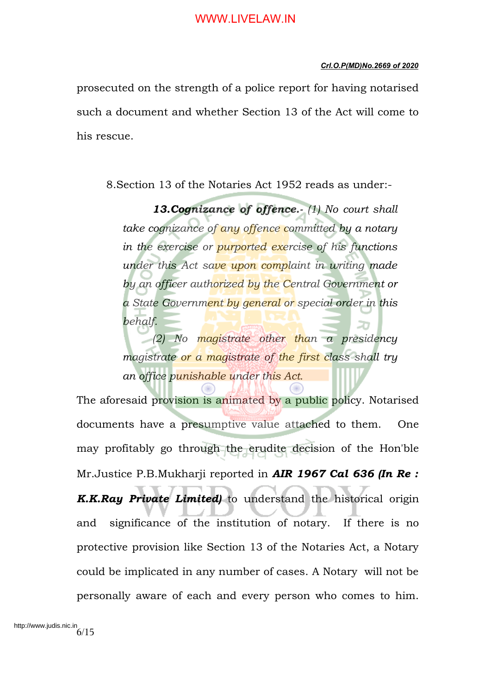#### *Crl.O.P(MD)No.2669 of 2020*

prosecuted on the strength of a police report for having notarised such a document and whether Section 13 of the Act will come to his rescue.

8.Section 13 of the Notaries Act 1952 reads as under:-

*13.Cognizance of offence.- (1) No court shall take cognizance of any offence committed by a notary in the exercise or purported exercise of his functions under this Act save upon complaint in writing made by an officer authorized by the Central Government or a State Government by general or special order in this behalf.* 

*(2) No magistrate other than a presidency magistrate or a magistrate of the first class shall try an office punishable under this Act.*

The aforesaid provision is animated by a public policy. Notarised documents have a presumptive value attached to them. One may profitably go through the erudite decision of the Hon'ble Mr.Justice P.B.Mukharji reported in *AIR 1967 Cal 636 (In Re : K.K.Ray Private Limited)* to understand the historical origin and significance of the institution of notary. If there is no protective provision like Section 13 of the Notaries Act, a Notary could be implicated in any number of cases. A Notary will not be personally aware of each and every person who comes to him.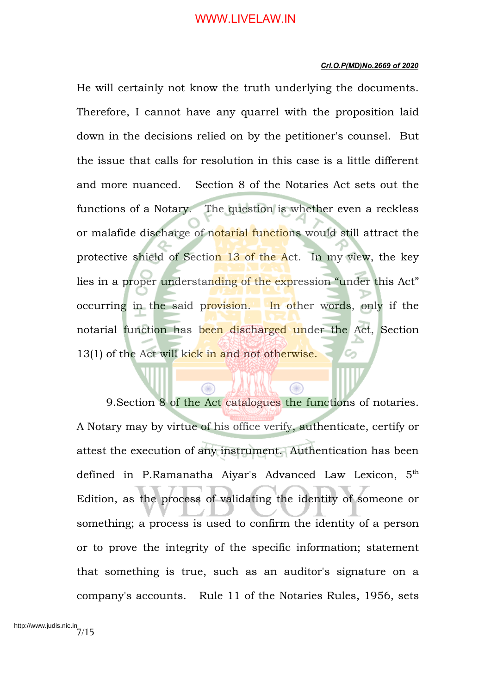#### *Crl.O.P(MD)No.2669 of 2020*

He will certainly not know the truth underlying the documents. Therefore, I cannot have any quarrel with the proposition laid down in the decisions relied on by the petitioner's counsel. But the issue that calls for resolution in this case is a little different and more nuanced. Section 8 of the Notaries Act sets out the functions of a Notary. The question is whether even a reckless or malafide discharge of notarial functions would still attract the protective shield of Section 13 of the Act. In my view, the key lies in a proper understanding of the expression "under this Act" occurring in the said provision. In other words, only if the notarial function has been discharged under the Act, Section 13(1) of the Act will kick in and not otherwise.

9.Section 8 of the Act catalogues the functions of notaries. A Notary may by virtue of his office verify, authenticate, certify or attest the execution of any instrument. Authentication has been defined in P.Ramanatha Aiyar's Advanced Law Lexicon, 5<sup>th</sup> Edition, as the process of validating the identity of someone or something; a process is used to confirm the identity of a person or to prove the integrity of the specific information; statement that something is true, such as an auditor's signature on a company's accounts. Rule 11 of the Notaries Rules, 1956, sets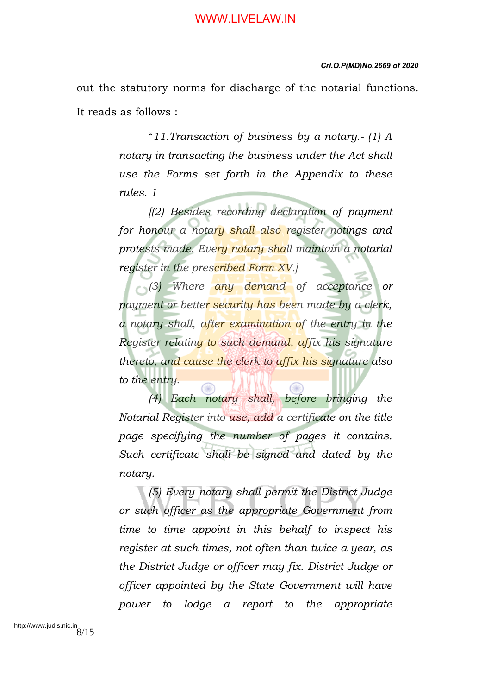#### *Crl.O.P(MD)No.2669 of 2020*

out the statutory norms for discharge of the notarial functions. It reads as follows :

> "*11.Transaction of business by a notary.- (1) A notary in transacting the business under the Act shall use the Forms set forth in the Appendix to these rules. 1*

> *[(2) Besides recording declaration of payment for honour a notary shall also register notings and protests made. Every notary shall maintain a notarial register in the prescribed Form XV.]*

> *(3) Where any demand of acceptance or payment or better security has been made by a clerk, a notary shall, after examination of the entry in the Register relating to such demand, affix his signature thereto, and cause the clerk to affix his signature also to the entry.*

> *(4) Each notary shall, before bringing the Notarial Register into use, add a certificate on the title page specifying the number of pages it contains. Such certificate shall be signed and dated by the notary.*

> *(5) Every notary shall permit the District Judge or such officer as the appropriate Government from time to time appoint in this behalf to inspect his register at such times, not often than twice a year, as the District Judge or officer may fix. District Judge or officer appointed by the State Government will have power to lodge a report to the appropriate*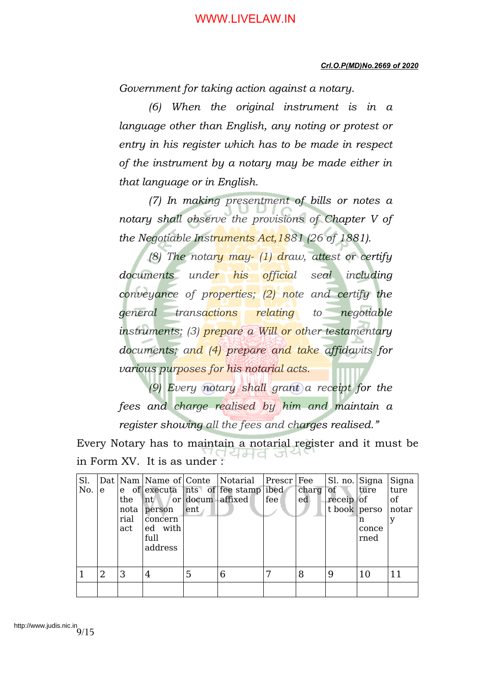*Government for taking action against a notary.* 

*(6) When the original instrument is in a language other than English, any noting or protest or entry in his register which has to be made in respect of the instrument by a notary may be made either in that language or in English.* 

*(7) In making presentment of bills or notes a notary shall observe the provisions of Chapter V of the Negotiable Instruments Act,1881 (26 of 1881).* 

*(8) The notary may- (1) draw, attest or certify documents under his official seal including conveyance of properties; (2) note and certify the general transactions relating to negotiable instruments; (3) prepare a Will or other testamentary documents; and (4) prepare and take affidavits for various purposes for his notarial acts.* 

*(9) Every notary shall grant a receipt for the fees and charge realised by him and maintain a register showing all the fees and charges realised."*

Every Notary has to maintain a notarial register and it must be in Form XV. It is as under :

| Sl.<br>No.     | e | the<br>nota<br>rial | nt<br>person<br>concern    | or docum affixed<br>ent. | Dat Nam Name of Conte Notarial Prescr<br>e of executa nts of fee stamp ibed | fee | Fee<br>charg<br>ed | Sl. no. Signa<br>of<br>$receip$ of<br>t book   perso | ture<br>n     | Signa<br>ture<br>of<br>notar<br>У |
|----------------|---|---------------------|----------------------------|--------------------------|-----------------------------------------------------------------------------|-----|--------------------|------------------------------------------------------|---------------|-----------------------------------|
|                |   | act                 | ed with<br>full<br>address |                          |                                                                             |     |                    |                                                      | conce<br>rned |                                   |
|                |   |                     |                            |                          |                                                                             |     |                    |                                                      |               |                                   |
| $\overline{1}$ | 2 | 3                   | 4                          | 5                        | 6                                                                           |     | 8                  | 9                                                    | 10            | 11                                |
|                |   |                     |                            |                          |                                                                             |     |                    |                                                      |               |                                   |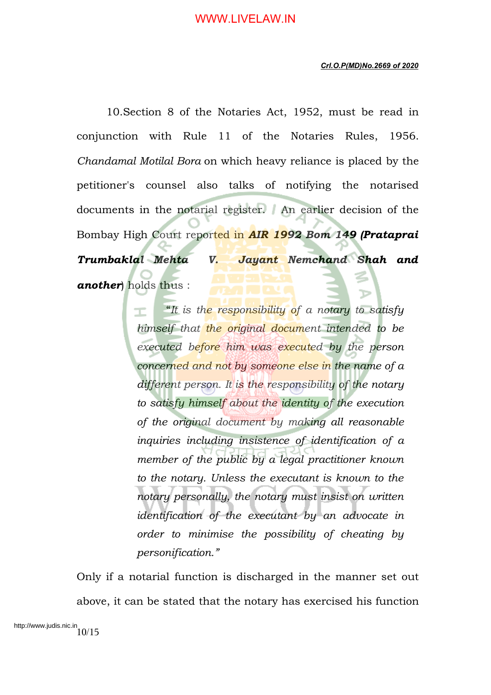10.Section 8 of the Notaries Act, 1952, must be read in conjunction with Rule 11 of the Notaries Rules, 1956. *Chandamal Motilal Bora* on which heavy reliance is placed by the petitioner's counsel also talks of notifying the notarised documents in the notarial register. An earlier decision of the Bombay High Court reported in *AIR 1992 Bom 149 (Prataprai Trumbaklal Mehta V. Jayant Nemchand Shah and another*) holds thus :

> "*It is the responsibility of a notary to satisfy himself that the original document intended to be executed before him was executed by the person concerned and not by someone else in the name of a different person. It is the responsibility of the notary to satisfy himself about the identity of the execution of the original document by making all reasonable inquiries including insistence of identification of a member of the public by a legal practitioner known to the notary. Unless the executant is known to the notary personally, the notary must insist on written identification of the executant by an advocate in order to minimise the possibility of cheating by personification."*

Only if a notarial function is discharged in the manner set out above, it can be stated that the notary has exercised his function

http://www.judis.nic.in<br> $10/15$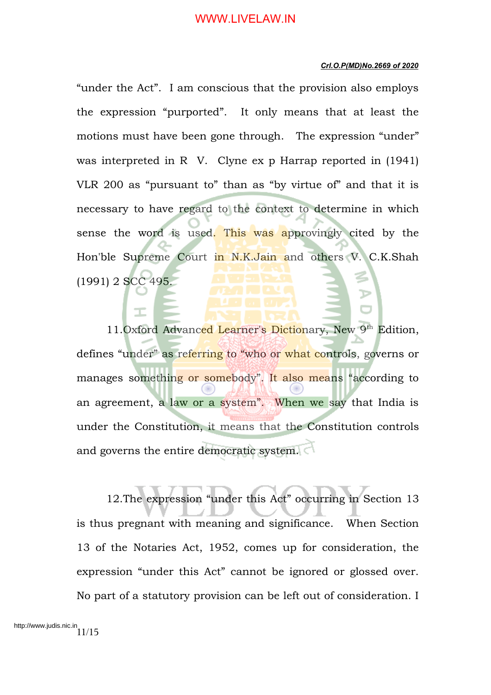#### *Crl.O.P(MD)No.2669 of 2020*

"under the Act". I am conscious that the provision also employs the expression "purported". It only means that at least the motions must have been gone through. The expression "under" was interpreted in R V. Clyne ex p Harrap reported in (1941) VLR 200 as "pursuant to" than as "by virtue of" and that it is necessary to have regard to the context to determine in which sense the word is used. This was approvingly cited by the Hon'ble Supreme Court in N.K.Jain and others V. C.K.Shah (1991) 2 SCC 495.

11.Oxford Advanced Learner's Dictionary, New 9<sup>th</sup> Edition, defines "under" as referring to "who or what controls, governs or manages something or somebody". It also means "according to an agreement, a law or a system". When we say that India is under the Constitution, it means that the Constitution controls and governs the entire democratic system.

12.The expression "under this Act" occurring in Section 13 is thus pregnant with meaning and significance. When Section 13 of the Notaries Act, 1952, comes up for consideration, the expression "under this Act" cannot be ignored or glossed over. No part of a statutory provision can be left out of consideration. I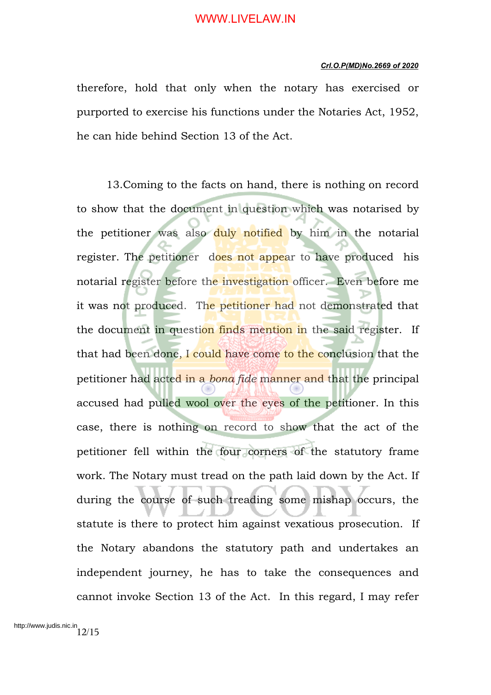#### *Crl.O.P(MD)No.2669 of 2020*

therefore, hold that only when the notary has exercised or purported to exercise his functions under the Notaries Act, 1952, he can hide behind Section 13 of the Act.

13.Coming to the facts on hand, there is nothing on record to show that the document in question which was notarised by the petitioner was also duly notified by him in the notarial register. The petitioner does not appear to have produced his notarial register before the investigation officer. Even before me it was not produced. The petitioner had not demonstrated that the document in question finds mention in the said register. If that had been done, I could have come to the conclusion that the petitioner had acted in a *bona fide* manner and that the principal accused had pulled wool over the eyes of the petitioner. In this case, there is nothing on record to show that the act of the petitioner fell within the four corners of the statutory frame work. The Notary must tread on the path laid down by the Act. If during the course of such treading some mishap occurs, the statute is there to protect him against vexatious prosecution. If the Notary abandons the statutory path and undertakes an independent journey, he has to take the consequences and cannot invoke Section 13 of the Act. In this regard, I may refer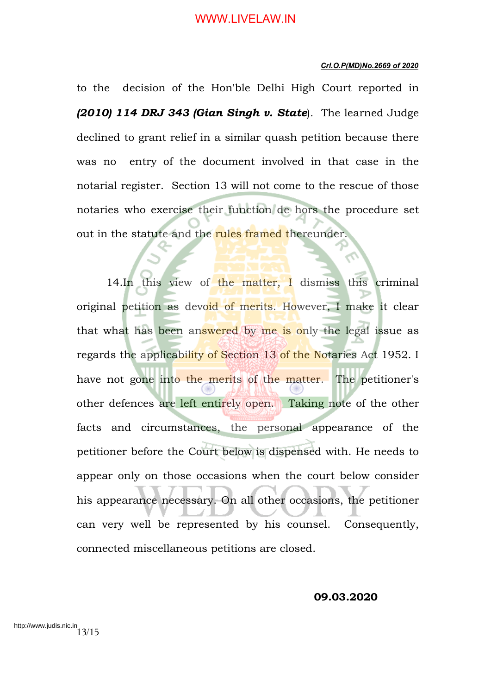#### *Crl.O.P(MD)No.2669 of 2020*

to the decision of the Hon'ble Delhi High Court reported in *(2010) 114 DRJ 343 (Gian Singh v. State*). The learned Judge declined to grant relief in a similar quash petition because there was no entry of the document involved in that case in the notarial register. Section 13 will not come to the rescue of those notaries who exercise their function de hors the procedure set out in the statute and the rules framed thereunder.

14.In this view of the matter, I dismiss this criminal original petition as devoid of merits. However, I make it clear that what has been answered by me is only the legal issue as regards the applicability of Section 13 of the Notaries Act 1952. I have not gone into the merits of the matter. The petitioner's other defences are left entirely open. Taking note of the other facts and circumstances, the personal appearance of the petitioner before the Court below is dispensed with. He needs to appear only on those occasions when the court below consider his appearance necessary. On all other occasions, the petitioner can very well be represented by his counsel. Consequently, connected miscellaneous petitions are closed.

**09.03.2020**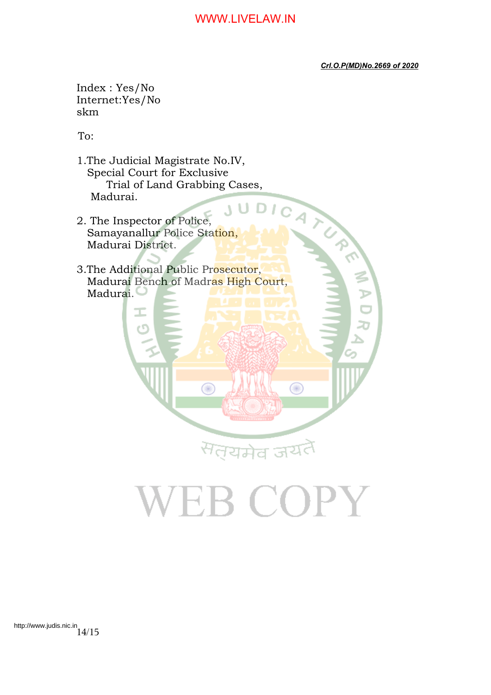*Crl.O.P(MD)No.2669 of 2020*

Index : Yes/No Internet:Yes/No skm

To:

- 1.The Judicial Magistrate No.IV, Special Court for Exclusive<br>
Trial of Land Grabbing Cases,<br>
Madurai.<br>
The Inspector of Police,<br>
The Police Station, Trial of Land Grabbing Cases, Madurai.
- 2. The Inspector of Police, Samayanallur Police Station, Madurai District.

3.The Additional Public Prosecutor, Madurai Bench of Madras High Court, Madurai.

⋒

VEB COPY

सत्यमेव जयतै

Œ